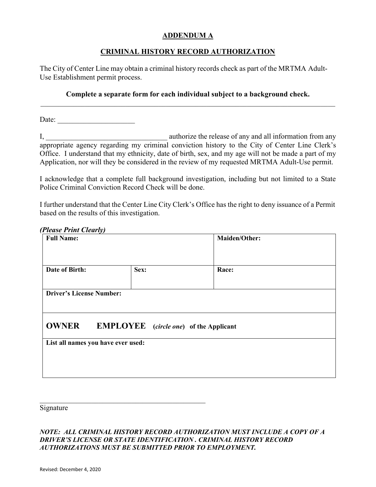# **ADDENDUM A**

## **CRIMINAL HISTORY RECORD AUTHORIZATION**

The City of Center Line may obtain a criminal history records check as part of the MRTMA Adult-Use Establishment permit process.

### **Complete a separate form for each individual subject to a background check.**

Date:

I, authorize the release of any and all information from any appropriate agency regarding my criminal conviction history to the City of Center Line Clerk's Office. I understand that my ethnicity, date of birth, sex, and my age will not be made a part of my Application, nor will they be considered in the review of my requested MRTMA Adult-Use permit.

I acknowledge that a complete full background investigation, including but not limited to a State Police Criminal Conviction Record Check will be done.

I further understand that the Center Line City Clerk's Office has the right to deny issuance of a Permit based on the results of this investigation.

#### *(Please Print Clearly)*

| <b>Full Name:</b>                                             |      | <b>Maiden/Other:</b> |  |  |
|---------------------------------------------------------------|------|----------------------|--|--|
| Date of Birth:                                                | Sex: | Race:                |  |  |
| <b>Driver's License Number:</b>                               |      |                      |  |  |
| <b>OWNER</b><br><b>EMPLOYEE</b> (circle one) of the Applicant |      |                      |  |  |
| List all names you have ever used:                            |      |                      |  |  |

Signature

### *NOTE: ALL CRIMINAL HISTORY RECORD AUTHORIZATION MUST INCLUDE A COPY OF A DRIVER'S LICENSE OR STATE IDENTIFICATION . CRIMINAL HISTORY RECORD AUTHORIZATIONS MUST BE SUBMITTED PRIOR TO EMPLOYMENT.*

 $\_$  . The contribution of the contribution of  $\mathcal{L}_\mathcal{A}$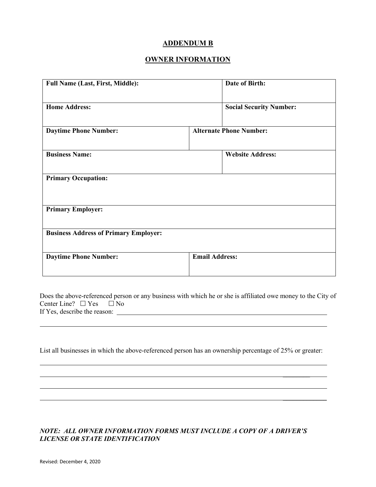## **ADDENDUM B**

# **OWNER INFORMATION**

| <b>Full Name (Last, First, Middle):</b>      | Date of Birth:                 |  |  |  |
|----------------------------------------------|--------------------------------|--|--|--|
| <b>Home Address:</b>                         | <b>Social Security Number:</b> |  |  |  |
| <b>Daytime Phone Number:</b>                 | <b>Alternate Phone Number:</b> |  |  |  |
| <b>Business Name:</b>                        | <b>Website Address:</b>        |  |  |  |
| <b>Primary Occupation:</b>                   |                                |  |  |  |
| <b>Primary Employer:</b>                     |                                |  |  |  |
| <b>Business Address of Primary Employer:</b> |                                |  |  |  |
| <b>Daytime Phone Number:</b>                 | <b>Email Address:</b>          |  |  |  |

Does the above-referenced person or any business with which he or she is affiliated owe money to the City of Center Line?  $\Box$  Yes  $\Box$  No If Yes, describe the reason:

List all businesses in which the above-referenced person has an ownership percentage of 25% or greater:

 $\overline{\phantom{a}}$ 

\_\_\_\_\_\_\_\_\_\_\_\_\_

## *NOTE: ALL OWNER INFORMATION FORMS MUST INCLUDE A COPY OF A DRIVER'S LICENSE OR STATE IDENTIFICATION*